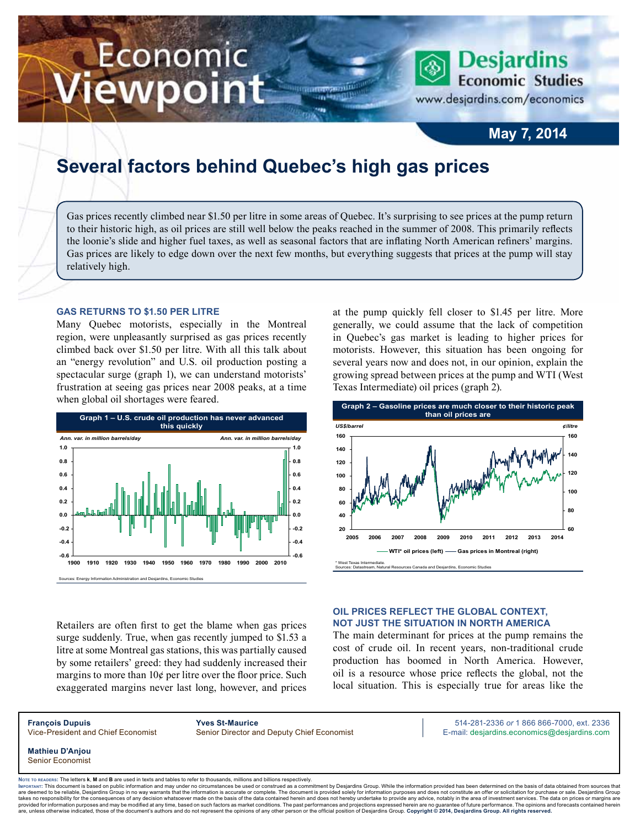# Economic ewpoint

**May 7, 2014**

**Desjardins** 

www.desjardins.com/economics

**Economic Studies** 

## **Several factors behind Quebec's high gas prices**

Gas prices recently climbed near \$1.50 per litre in some areas of Quebec. It's surprising to see prices at the pump return to their historic high, as oil prices are still well below the peaks reached in the summer of 2008. This primarily reflects the loonie's slide and higher fuel taxes, as well as seasonal factors that are inflating North American refiners' margins. Gas prices are likely to edge down over the next few months, but everything suggests that prices at the pump will stay relatively high.

m

#### **Gas returns to \$1.50 per litre**

Many Quebec motorists, especially in the Montreal region, were unpleasantly surprised as gas prices recently climbed back over \$1.50 per litre. With all this talk about an "energy revolution" and U.S. oil production posting a spectacular surge (graph 1), we can understand motorists' frustration at seeing gas prices near 2008 peaks, at a time when global oil shortages were feared.



at the pump quickly fell closer to \$1.45 per litre. More generally, we could assume that the lack of competition in Quebec's gas market is leading to higher prices for motorists. However, this situation has been ongoing for several years now and does not, in our opinion, explain the growing spread between prices at the pump and WTI (West Texas Intermediate) oil prices (graph 2).



Retailers are often first to get the blame when gas prices surge suddenly. True, when gas recently jumped to \$1.53 a litre at some Montreal gas stations, this was partially caused by some retailers' greed: they had suddenly increased their margins to more than  $10¢$  per litre over the floor price. Such exaggerated margins never last long, however, and prices

#### **Oil prices reflect the global context, not just the situation in North America**

The main determinant for prices at the pump remains the cost of crude oil. In recent years, non-traditional crude production has boomed in North America. However, oil is a resource whose price reflects the global, not the local situation. This is especially true for areas like the

**François Dupuis Yves St-Maurice** 514-281-2336 *or* 1 866 866-7000, ext. 2336 Vice-President and Chief Economist Senior Director and Deputy Chief Economist E-mail: desjardins.economics@desjardins.com

**Mathieu D'Anjou** Senior Economist

Noте то келоекs: The letters **k, M** and **B** are used in texts and tables to refer to thousands, millions and billions respectively.<br>Імроктлит: This document is based on public information and may under no circumstances be are deemed to be reliable. Desiardins Group in no way warrants that the information is accurate or complete. The document is provided solely for information purposes and does not constitute an offer or solicitation for pur takes no responsibility for the consequences of any decision whatsoever made on the basis of the data contained herein and does not hereby undertake to provide any advice, notably in the area of investment services. The da .<br>are, unless otherwise indicated, those of the document's authors and do not represent the opinions of any other person or the official position of Desjardins Group. Copyright © 2014, Desjardins Group. All rights reserve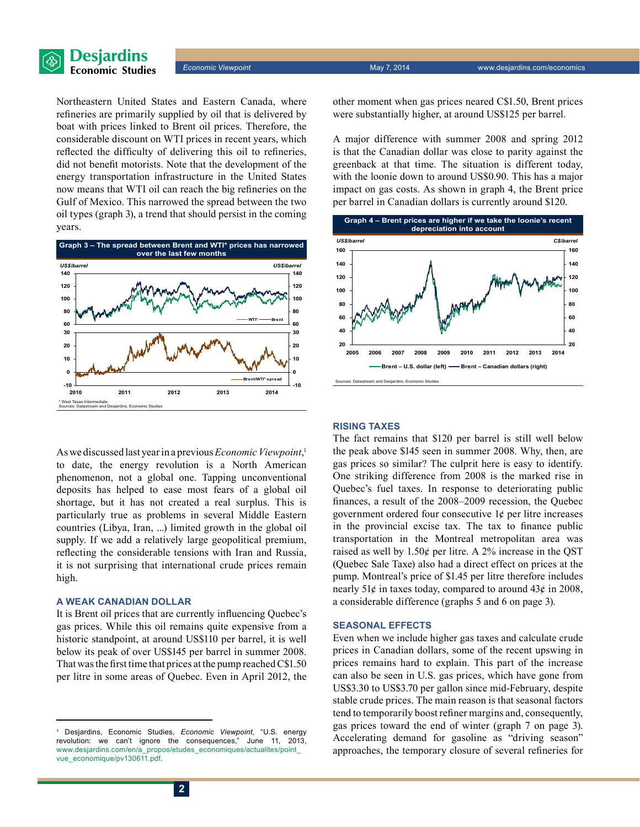

*Economic Viewpoint* May 7, 2014 www.desjardins.com/economics

Northeastern United States and Eastern Canada, where refineries are primarily supplied by oil that is delivered by boat with prices linked to Brent oil prices. Therefore, the considerable discount on WTI prices in recent years, which reflected the difficulty of delivering this oil to refineries, did not benefit motorists. Note that the development of the energy transportation infrastructure in the United States now means that WTI oil can reach the big refineries on the Gulf of Mexico. This narrowed the spread between the two oil types (graph 3), a trend that should persist in the coming years.



As we discussed last year in a previous *Economic Viewpoint*,<sup>1</sup> to date, the energy revolution is a North American phenomenon, not a global one. Tapping unconventional deposits has helped to ease most fears of a global oil shortage, but it has not created a real surplus. This is particularly true as problems in several Middle Eastern countries (Libya, Iran, ...) limited growth in the global oil supply. If we add a relatively large geopolitical premium, reflecting the considerable tensions with Iran and Russia, it is not surprising that international crude prices remain high.

#### **A weak Canadian dollar**

It is Brent oil prices that are currently influencing Quebec's gas prices. While this oil remains quite expensive from a historic standpoint, at around US\$110 per barrel, it is well below its peak of over US\$145 per barrel in summer 2008. That was the first time that prices at the pump reached C\$1.50 per litre in some areas of Quebec. Even in April 2012, the other moment when gas prices neared C\$1.50, Brent prices were substantially higher, at around US\$125 per barrel.

A major difference with summer 2008 and spring 2012 is that the Canadian dollar was close to parity against the greenback at that time. The situation is different today, with the loonie down to around US\$0.90. This has a major impact on gas costs. As shown in graph 4, the Brent price per barrel in Canadian dollars is currently around \$120.



#### **Rising taxes**

The fact remains that \$120 per barrel is still well below the peak above \$145 seen in summer 2008. Why, then, are gas prices so similar? The culprit here is easy to identify. One striking difference from 2008 is the marked rise in Quebec's fuel taxes. In response to deteriorating public finances, a result of the 2008–2009 recession, the Quebec government ordered four consecutive 1¢ per litre increases in the provincial excise tax. The tax to finance public transportation in the Montreal metropolitan area was raised as well by  $1.50¢$  per litre. A  $2\%$  increase in the OST (Quebec Sale Taxe) also had a direct effect on prices at the pump. Montreal's price of \$1.45 per litre therefore includes nearly  $51¢$  in taxes today, compared to around  $43¢$  in 2008, a considerable difference (graphs 5 and 6 on page 3).

#### **Seasonal effects**

Even when we include higher gas taxes and calculate crude prices in Canadian dollars, some of the recent upswing in prices remains hard to explain. This part of the increase can also be seen in U.S. gas prices, which have gone from US\$3.30 to US\$3.70 per gallon since mid-February, despite stable crude prices. The main reason is that seasonal factors tend to temporarily boost refiner margins and, consequently, gas prices toward the end of winter (graph 7 on page 3). Accelerating demand for gasoline as "driving season" approaches, the temporary closure of several refineries for

<sup>1</sup> Desjardins, Economic Studies, *Economic Viewpoint*, "U.S. energy revolution: we can't ignore the consequences," June 11, 2013, www.desjardins.com/en/a\_propos/etudes\_economiques/actualites/point [vue\\_economique/pv130611.pdf.](http://www.desjardins.com/en/a_propos/etudes_economiques/actualites/point_vue_economique/pv130611.pdf)